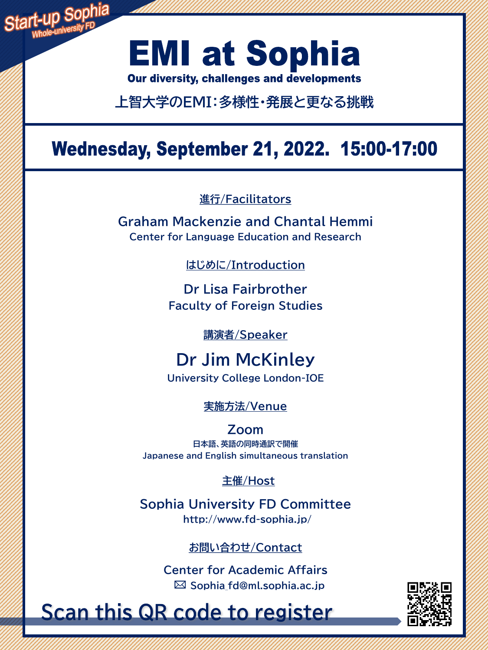

# **EMI at Sophia**

Our diversity, challenges and developments

**上智大学のEMI:多様性・発展と更なる挑戦**

## **Wednesday, September 21, 2022. 15:00-17:00**

**進行/Facilitators**

**Graham Mackenzie and Chantal Hemmi Center for Language Education and Research**

**はじめに/Introduction**

**Dr Lisa Fairbrother Faculty of Foreign Studies**

**講演者/Speaker**

**Dr Jim McKinley University College London-IOE**

**実施方法/Venue**

**Zoom 日本語、英語の同時通訳で開催 Japanese and English simultaneous translation**

**主催/Host**

**Sophia University FD Committee http://www.fd-sophia.jp/**

### **お問い合わせ/Contact**

**Center for Academic Affairs Sophia\_fd@ml.sophia.ac.jp**

**Scan this QR code to register**